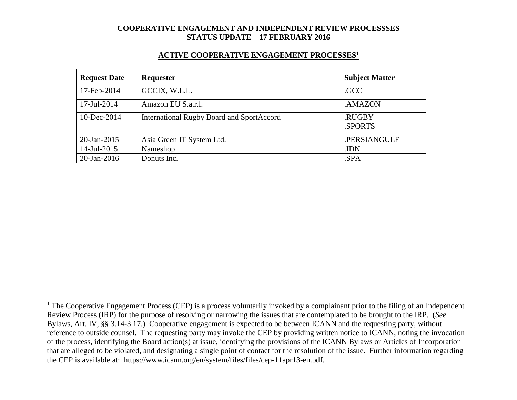#### **ACTIVE COOPERATIVE ENGAGEMENT PROCESSES<sup>1</sup>**

| <b>Request Date</b> | Requester                                        | <b>Subject Matter</b> |
|---------------------|--------------------------------------------------|-----------------------|
| 17-Feb-2014         | GCCIX, W.L.L.                                    | .GCC                  |
| 17-Jul-2014         | Amazon EU S.a.r.l.                               | .AMAZON               |
| $10$ -Dec-2014      | <b>International Rugby Board and SportAccord</b> | .RUGBY<br>.SPORTS     |
| 20-Jan-2015         | Asia Green IT System Ltd.                        | .PERSIANGULF          |
| 14-Jul-2015         | Nameshop                                         | .IDN                  |
| $20$ -Jan-2016      | Donuts Inc.                                      | .SPA                  |

 $1$  The Cooperative Engagement Process (CEP) is a process voluntarily invoked by a complainant prior to the filing of an Independent Review Process (IRP) for the purpose of resolving or narrowing the issues that are contemplated to be brought to the IRP. (*See* Bylaws, Art. IV, §§ 3.14-3.17.) Cooperative engagement is expected to be between ICANN and the requesting party, without reference to outside counsel. The requesting party may invoke the CEP by providing written notice to ICANN, noting the invocation of the process, identifying the Board action(s) at issue, identifying the provisions of the ICANN Bylaws or Articles of Incorporation that are alleged to be violated, and designating a single point of contact for the resolution of the issue. Further information regarding the CEP is available at: https://www.icann.org/en/system/files/files/cep-11apr13-en.pdf.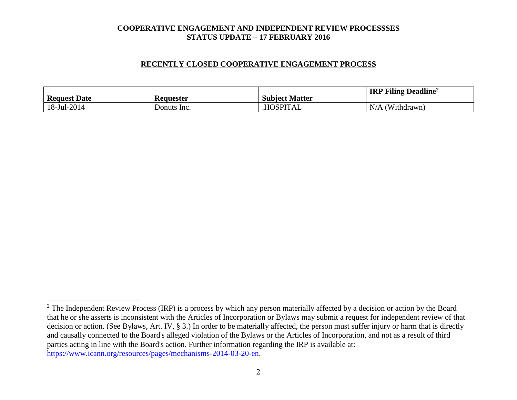### **RECENTLY CLOSED COOPERATIVE ENGAGEMENT PROCESS**

| <b>Request Date</b> | <b>Requester</b> | <b>Subject Matter</b> | <b>IRP Filing Deadline</b> <sup>2</sup> |
|---------------------|------------------|-----------------------|-----------------------------------------|
| $18$ -Jul-2014      | Donuts Inc.      | HOSPITAL.             | $N/A$ (Withdrawn)                       |

 $2$  The Independent Review Process (IRP) is a process by which any person materially affected by a decision or action by the Board that he or she asserts is inconsistent with the Articles of Incorporation or Bylaws may submit a request for independent review of that decision or action. (See Bylaws, Art. IV, § 3.) In order to be materially affected, the person must suffer injury or harm that is directly and causally connected to the Board's alleged violation of the Bylaws or the Articles of Incorporation, and not as a result of third parties acting in line with the Board's action. Further information regarding the IRP is available at: [https://www.icann.org/resources/pages/mechanisms-2014-03-20-en.](https://www.icann.org/resources/pages/mechanisms-2014-03-20-en)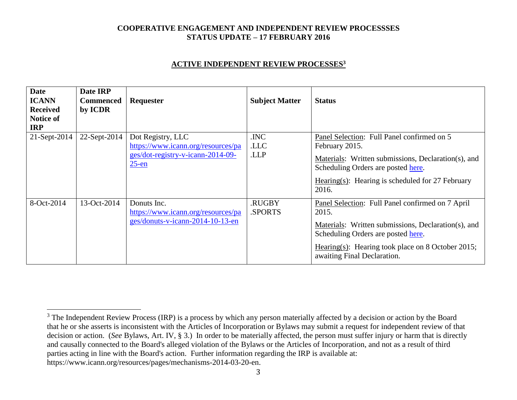### **ACTIVE INDEPENDENT REVIEW PROCESSES<sup>3</sup>**

| <b>Date</b><br><b>ICANN</b><br><b>Received</b><br>Notice of<br><b>IRP</b> | Date IRP<br><b>Commenced</b><br>by ICDR | Requester                                                                                                | <b>Subject Matter</b>   | <b>Status</b>                                                                                                                                                                                                                              |
|---------------------------------------------------------------------------|-----------------------------------------|----------------------------------------------------------------------------------------------------------|-------------------------|--------------------------------------------------------------------------------------------------------------------------------------------------------------------------------------------------------------------------------------------|
| 21-Sept-2014                                                              | 22-Sept-2014                            | Dot Registry, LLC<br>https://www.icann.org/resources/pa<br>ges/dot-registry-v-icann-2014-09-<br>$25$ -en | .INC<br>.LLC<br>.LLP    | Panel Selection: Full Panel confirmed on 5<br>February 2015.<br>Materials: Written submissions, Declaration(s), and<br>Scheduling Orders are posted here.<br>Hearing(s): Hearing is scheduled for $27$ February<br>2016.                   |
| 8-Oct-2014                                                                | 13-Oct-2014                             | Donuts Inc.<br>https://www.icann.org/resources/pa<br>ges/donuts-v-icann-2014-10-13-en                    | <b>RUGBY</b><br>.SPORTS | Panel Selection: Full Panel confirmed on 7 April<br>2015.<br>Materials: Written submissions, Declaration(s), and<br>Scheduling Orders are posted here.<br>Hearing(s): Hearing took place on 8 October 2015;<br>awaiting Final Declaration. |

<sup>&</sup>lt;sup>3</sup> The Independent Review Process (IRP) is a process by which any person materially affected by a decision or action by the Board that he or she asserts is inconsistent with the Articles of Incorporation or Bylaws may submit a request for independent review of that decision or action. (*See* Bylaws, Art. IV, § 3.) In order to be materially affected, the person must suffer injury or harm that is directly and causally connected to the Board's alleged violation of the Bylaws or the Articles of Incorporation, and not as a result of third parties acting in line with the Board's action. Further information regarding the IRP is available at: https://www.icann.org/resources/pages/mechanisms-2014-03-20-en.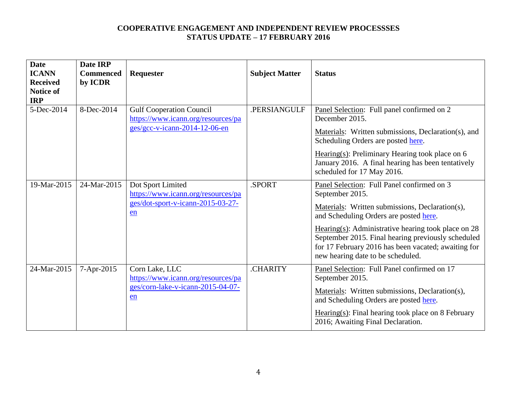| <b>Date</b><br><b>ICANN</b><br><b>Received</b><br><b>Notice of</b><br><b>IRP</b> | Date IRP<br><b>Commenced</b><br>by ICDR | Requester                                                                                                | <b>Subject Matter</b> | <b>Status</b>                                                                                                                                                                                                                                                                                                                                                         |
|----------------------------------------------------------------------------------|-----------------------------------------|----------------------------------------------------------------------------------------------------------|-----------------------|-----------------------------------------------------------------------------------------------------------------------------------------------------------------------------------------------------------------------------------------------------------------------------------------------------------------------------------------------------------------------|
| 5-Dec-2014                                                                       | 8-Dec-2014                              | <b>Gulf Cooperation Council</b><br>https://www.icann.org/resources/pa<br>$ges/gcc-v-icann-2014-12-06-en$ | .PERSIANGULF          | Panel Selection: Full panel confirmed on 2<br>December 2015.<br>Materials: Written submissions, Declaration(s), and<br>Scheduling Orders are posted here.<br>Hearing(s): Preliminary Hearing took place on $6$<br>January 2016. A final hearing has been tentatively<br>scheduled for 17 May 2016.                                                                    |
| 19-Mar-2015                                                                      | 24-Mar-2015                             | Dot Sport Limited<br>https://www.icann.org/resources/pa<br>ges/dot-sport-v-icann-2015-03-27-<br>en       | .SPORT                | Panel Selection: Full Panel confirmed on 3<br>September 2015.<br>Materials: Written submissions, Declaration(s),<br>and Scheduling Orders are posted here.<br>Hearing(s): Administrative hearing took place on $28$<br>September 2015. Final hearing previously scheduled<br>for 17 February 2016 has been vacated; awaiting for<br>new hearing date to be scheduled. |
| 24-Mar-2015                                                                      | 7-Apr-2015                              | Corn Lake, LLC<br>https://www.icann.org/resources/pa<br>ges/corn-lake-v-icann-2015-04-07-<br>en          | .CHARITY              | Panel Selection: Full Panel confirmed on 17<br>September 2015.<br>Materials: Written submissions, Declaration(s),<br>and Scheduling Orders are posted here.<br>$Hearing(s): Final hearing took place on 8 February$<br>2016; Awaiting Final Declaration.                                                                                                              |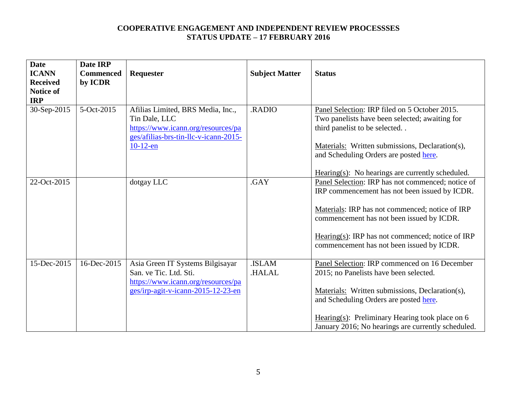| <b>Date</b><br><b>ICANN</b><br><b>Received</b><br><b>Notice of</b> | Date IRP<br><b>Commenced</b><br>by ICDR | Requester                                                                                                                         | <b>Subject Matter</b> | <b>Status</b>                                                                                                                    |
|--------------------------------------------------------------------|-----------------------------------------|-----------------------------------------------------------------------------------------------------------------------------------|-----------------------|----------------------------------------------------------------------------------------------------------------------------------|
| <b>IRP</b>                                                         |                                         |                                                                                                                                   |                       |                                                                                                                                  |
| 30-Sep-2015                                                        | 5-Oct-2015                              | Afilias Limited, BRS Media, Inc.,<br>Tin Dale, LLC<br>https://www.icann.org/resources/pa<br>ges/afilias-brs-tin-llc-v-icann-2015- | .RADIO                | Panel Selection: IRP filed on 5 October 2015.<br>Two panelists have been selected; awaiting for<br>third panelist to be selected |
|                                                                    |                                         | $10-12$ -en                                                                                                                       |                       | Materials: Written submissions, Declaration(s),<br>and Scheduling Orders are posted here.                                        |
|                                                                    |                                         |                                                                                                                                   |                       | $Hearing(s)$ : No hearings are currently scheduled.                                                                              |
| 22-Oct-2015                                                        |                                         | dotgay LLC                                                                                                                        | .GAY                  | Panel Selection: IRP has not commenced; notice of<br>IRP commencement has not been issued by ICDR.                               |
|                                                                    |                                         |                                                                                                                                   |                       | Materials: IRP has not commenced; notice of IRP<br>commencement has not been issued by ICDR.                                     |
|                                                                    |                                         |                                                                                                                                   |                       | Hearing(s): IRP has not commenced; notice of IRP<br>commencement has not been issued by ICDR.                                    |
| 15-Dec-2015                                                        | 16-Dec-2015                             | Asia Green IT Systems Bilgisayar<br>San. ve Tic. Ltd. Sti.<br>https://www.icann.org/resources/pa                                  | .ISLAM<br>.HALAL      | Panel Selection: IRP commenced on 16 December<br>2015; no Panelists have been selected.                                          |
|                                                                    |                                         | ges/irp-agit-v-icann-2015-12-23-en                                                                                                |                       | Materials: Written submissions, Declaration(s),<br>and Scheduling Orders are posted here.                                        |
|                                                                    |                                         |                                                                                                                                   |                       | Hearing(s): Preliminary Hearing took place on $6$<br>January 2016; No hearings are currently scheduled.                          |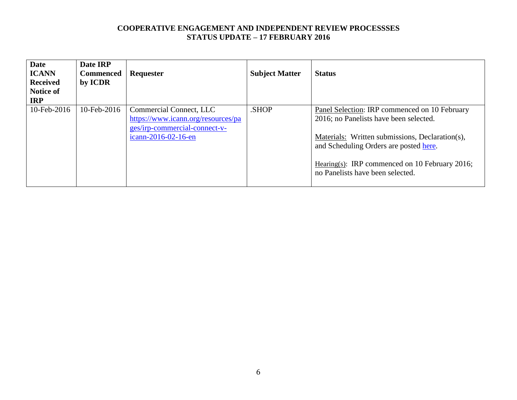| <b>Date</b><br><b>ICANN</b><br><b>Received</b><br>Notice of<br><b>IRP</b> | Date IRP<br><b>Commenced</b><br>by ICDR | Requester                                                                                                             | <b>Subject Matter</b> | <b>Status</b>                                                                                                                                                                                                                                                              |
|---------------------------------------------------------------------------|-----------------------------------------|-----------------------------------------------------------------------------------------------------------------------|-----------------------|----------------------------------------------------------------------------------------------------------------------------------------------------------------------------------------------------------------------------------------------------------------------------|
| 10-Feb-2016                                                               | $10$ -Feb-2016                          | Commercial Connect, LLC<br>https://www.icann.org/resources/pa<br>ges/irp-commercial-connect-v-<br>icann-2016-02-16-en | .SHOP                 | Panel Selection: IRP commenced on 10 February<br>2016; no Panelists have been selected.<br>Materials: Written submissions, Declaration(s),<br>and Scheduling Orders are posted here.<br>Hearing(s): IRP commenced on 10 February 2016;<br>no Panelists have been selected. |